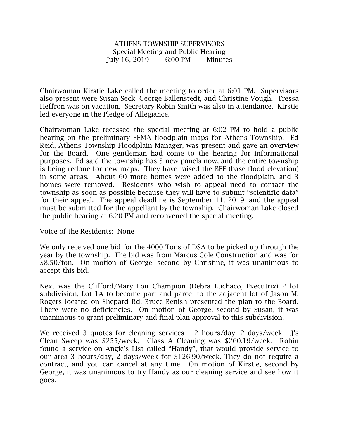## ATHENS TOWNSHIP SUPERVISORS Special Meeting and Public Hearing July 16, 2019 6:00 PM Minutes

Chairwoman Kirstie Lake called the meeting to order at 6:01 PM. Supervisors also present were Susan Seck, George Ballenstedt, and Christine Vough. Tressa Heffron was on vacation. Secretary Robin Smith was also in attendance. Kirstie led everyone in the Pledge of Allegiance.

Chairwoman Lake recessed the special meeting at 6:02 PM to hold a public hearing on the preliminary FEMA floodplain maps for Athens Township. Ed Reid, Athens Township Floodplain Manager, was present and gave an overview for the Board. One gentleman had come to the hearing for informational purposes. Ed said the township has 5 new panels now, and the entire township is being redone for new maps. They have raised the BFE (base flood elevation) in some areas. About 60 more homes were added to the floodplain, and 3 homes were removed. Residents who wish to appeal need to contact the township as soon as possible because they will have to submit "scientific data" for their appeal. The appeal deadline is September 11, 2019, and the appeal must be submitted for the appellant by the township. Chairwoman Lake closed the public hearing at 6:20 PM and reconvened the special meeting.

Voice of the Residents: None

We only received one bid for the 4000 Tons of DSA to be picked up through the year by the township. The bid was from Marcus Cole Construction and was for \$8.50/ton. On motion of George, second by Christine, it was unanimous to accept this bid.

Next was the Clifford/Mary Lou Champion (Debra Luchaco, Executrix) 2 lot subdivision, Lot 1A to become part and parcel to the adjacent lot of Jason M. Rogers located on Shepard Rd. Bruce Benish presented the plan to the Board. There were no deficiencies. On motion of George, second by Susan, it was unanimous to grant preliminary and final plan approval to this subdivision.

We received 3 quotes for cleaning services – 2 hours/day, 2 days/week. J's Clean Sweep was \$255/week; Class A Cleaning was \$260.19/week. Robin found a service on Angie's List called "Handy", that would provide service to our area 3 hours/day, 2 days/week for \$126.90/week. They do not require a contract, and you can cancel at any time. On motion of Kirstie, second by George, it was unanimous to try Handy as our cleaning service and see how it goes.